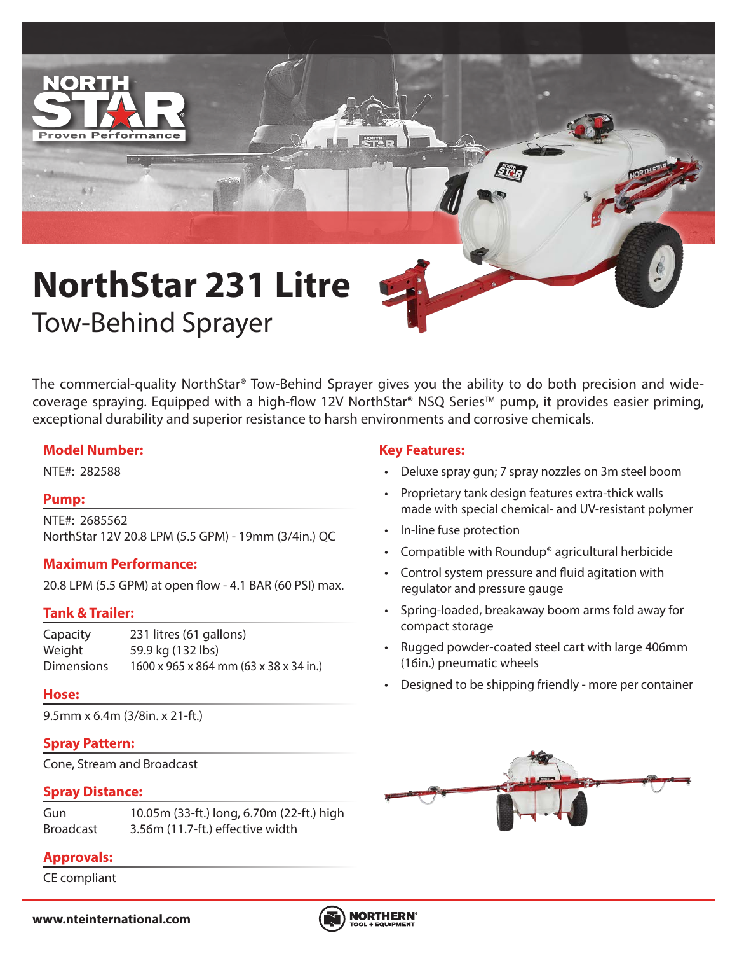

# **NorthStar 231 Litre** Tow-Behind Sprayer

The commercial-quality NorthStar® Tow-Behind Sprayer gives you the ability to do both precision and widecoverage spraying. Equipped with a high-flow 12V NorthStar® NSQ Series™ pump, it provides easier priming, exceptional durability and superior resistance to harsh environments and corrosive chemicals.

# **Model Number:**

# **Pump:**

NTE#: 2685562 NorthStar 12V 20.8 LPM (5.5 GPM) - 19mm (3/4in.) QC

# **Maximum Performance:**

20.8 LPM (5.5 GPM) at open flow - 4.1 BAR (60 PSI) max.

# **Tank & Trailer:**

Capacity 231 litres (61 gallons) Weight 59.9 kg (132 lbs) Dimensions 1600 x 965 x 864 mm (63 x 38 x 34 in.)

# **Hose:**

9.5mm x 6.4m (3/8in. x 21-ft.)

# **Spray Pattern:**

Cone, Stream and Broadcast

# **Spray Distance:**

| Gun       | 10.05m (33-ft.) long, 6.70m (22-ft.) high |
|-----------|-------------------------------------------|
| Broadcast | 3.56m (11.7-ft.) effective width          |

# **Approvals:**

CE compliant

# **Key Features:**

- NTE#: 282588 Deluxe spray gun; 7 spray nozzles on 3m steel boom
	- Proprietary tank design features extra-thick walls made with special chemical- and UV-resistant polymer
	- In-line fuse protection
	- Compatible with Roundup® agricultural herbicide
	- Control system pressure and fluid agitation with regulator and pressure gauge
	- Spring-loaded, breakaway boom arms fold away for compact storage
	- Rugged powder-coated steel cart with large 406mm (16in.) pneumatic wheels
	- Designed to be shipping friendly more per container